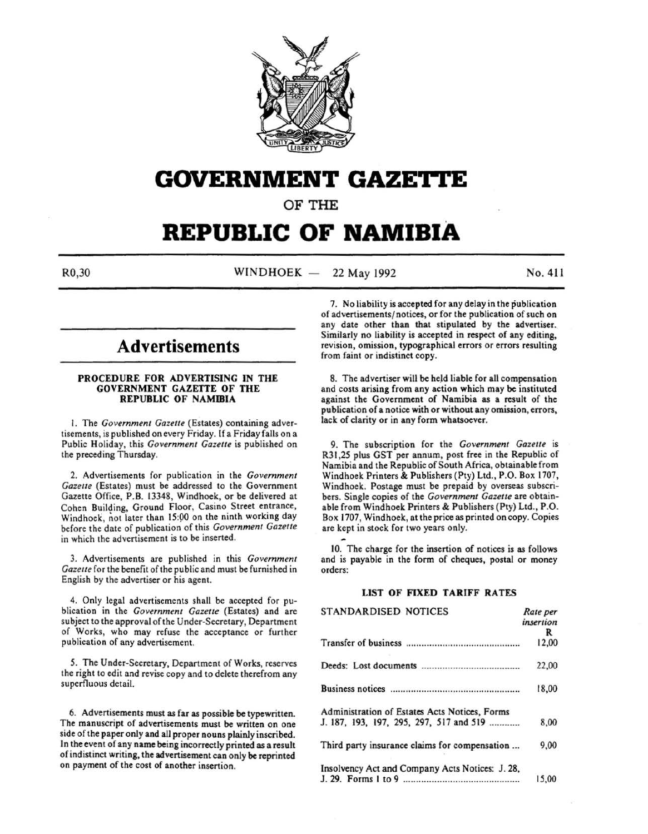

## **GOVERNMENT GAZETTE**

OF THE

# **REPUBLIC OF NAMIBIA**

 $R0,30$  WINDHOEK – 22 May 1992 No. 411

### **Advertisements**

#### PROCEDURE FOR ADVERTISING IN THE GOVERNMENT GAZETTE OF THE REPUBLIC OF NAMIBIA

I. The *Government Gazette* (Estates) containing advertisements, is published on every Friday. If a Friday falls on a Public Holiday, this *Government Gazette* is published on the preceding Thursday.

2. Advertisements for publication in the *Government Gazette* (Estates) must be addressed to the Government Gazette Office, P.B. 13348, Windhoek, or be delivered at Cohen Building, Ground Floor, Casino Street entrance, Windhoek, not later than 15:00 on the ninth working day before the date of publication of this *Government Gazette*  in which the advertisement is to be inserted.

3. Advertisements are published in this *Government Gazette* for the benefit of the public and must be furnished in English by the advertiser or his agent.

4. Only legal advertisements shall be accepted for publication in the *Government Gazette* (Estates) and are subject to the approval of the Under-Secretary, Department of Works, who may refuse the acceptance or further publication of any advertisement.

*5.* The Under-Secretary, Department of Works, reserves the right to edit and revise copy and to delete therefrom any superfluous detail.

6. Advertisements must as far as possible be typewritten. The manuscript of advertisements must be written on one side of the paper only and all proper nouns plainly inscribed. In the event of any name being incorrectly printed as a result of indistinct writing, the advertisement can only be reprinted on payment of the cost of another insertion.

7. No liability is accepted for any delay in the publication of advertisements/notices, or for the publication of such on any date other than that stipulated by the advertiser. Similarly no liability is accepted in respect of any editing, revision, omission, typographical errors or errors resulting from faint or indistinct copy.

8. The advertiser will be held liable for all compensation and costs arising from any action which may be instituted against the Government of Namibia as a result of the publication of a notice with or without any omission, errors, lack of clarity or in any form whatsoever.

9. The subscription for the *Government Gazette* is R31 ,25 plus GST per annum, post free in the Republic of Namibia and the Republic of South Africa, obtainable from Windhoek Printers & Publishers (Pty) Ltd., P.O. Box 1707, Windhoek. Postage must be prepaid by overseas subscribers. Single copies of the *Government Gazette* are obtainable from Windhoek Printers & Publishers (Pty) Ltd., P.O. Box 1707, Windhoek, at the price as printed on copy. Copies are kept in stock for two years only.

10. The charge for the insertion of notices is as follows and is payable in the form of cheques, postal or money orders:

#### LIST OF FIXED TARIFF RATES

| <b>STANDARDISED NOTICES</b>                     | Rate per<br>insertion |
|-------------------------------------------------|-----------------------|
|                                                 | R                     |
|                                                 | 12,00                 |
|                                                 | 22,00                 |
|                                                 | 18,00                 |
| Administration of Estates Acts Notices, Forms   |                       |
| J. 187, 193, 197, 295, 297, 517 and 519         | 8,00                  |
| Third party insurance claims for compensation   | 9,00                  |
| Insolvency Act and Company Acts Notices: J. 28, |                       |
|                                                 | 15.00                 |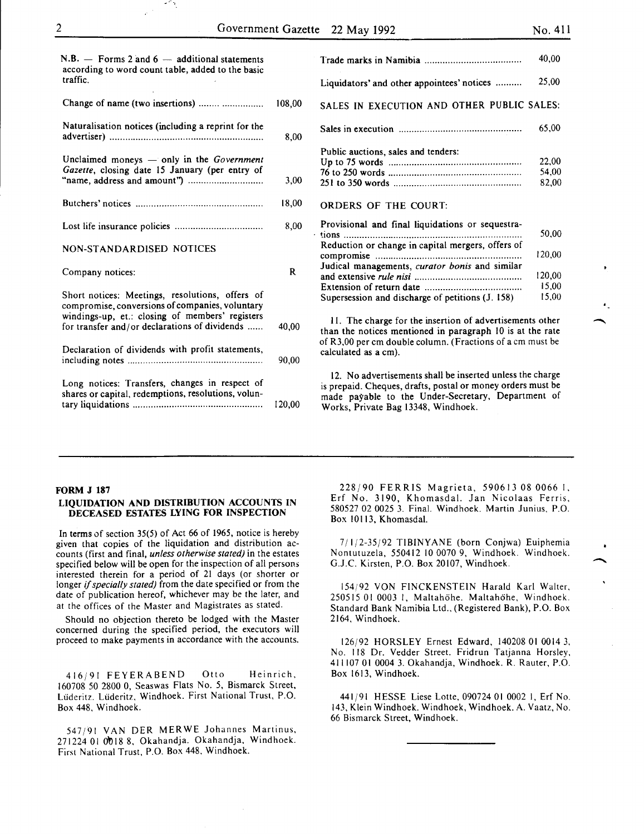| No. | 41 | 1 |
|-----|----|---|
|-----|----|---|

| $N.B.$ - Forms 2 and 6 - additional statements<br>according to word count table, added to the basic                    |             | 40,00                                                                                                                                                                                                                 |
|------------------------------------------------------------------------------------------------------------------------|-------------|-----------------------------------------------------------------------------------------------------------------------------------------------------------------------------------------------------------------------|
| traffic.                                                                                                               |             | 25,00<br>Liquidators' and other appointees' notices                                                                                                                                                                   |
| Change of name (two insertions)                                                                                        | 108,00      | SALES IN EXECUTION AND OTHER PUBLIC SALES:                                                                                                                                                                            |
| Naturalisation notices (including a reprint for the                                                                    | 8,00        | 65,00                                                                                                                                                                                                                 |
| Unclaimed moneys $-$ only in the <i>Government</i><br>Gazette, closing date 15 January (per entry of                   | 3,00        | Public auctions, sales and tenders:<br>22.00<br>54,00<br>82,00                                                                                                                                                        |
|                                                                                                                        | 18,00       | <b>ORDERS OF THE COURT:</b>                                                                                                                                                                                           |
| NON-STANDARDISED NOTICES                                                                                               | 8,00        | Provisional and final liquidations or sequestra-<br>50.00<br>Reduction or change in capital mergers, offers of<br>120.00                                                                                              |
| Company notices:<br>Short notices: Meetings, resolutions, offers of<br>compromise, conversions of companies, voluntary | $\mathbf R$ | Judical managements, curator bonis and similar<br>120.00<br>15,00<br>15,00<br>Supersession and discharge of petitions (J. 158)                                                                                        |
| windings-up, et.: closing of members' registers<br>for transfer and/or declarations of dividends                       | 40.00       | 11. The charge for the insertion of advertisements other<br>than the notices mentioned in paragraph 10 is at the rate                                                                                                 |
| Declaration of dividends with profit statements,                                                                       | 90,00       | of R3,00 per cm double column. (Fractions of a cm must be<br>calculated as a cm).                                                                                                                                     |
| Long notices: Transfers, changes in respect of<br>shares or capital, redemptions, resolutions, volun-                  | 120,00      | 12. No advertisements shall be inserted unless the charge<br>is prepaid. Cheques, drafts, postal or money orders must be<br>made payable to the Under-Secretary, Department of<br>Works, Private Bag 13348, Windhoek. |

#### FORM J 187

#### LIQUIDATION AND DISTRIBUTION ACCOUNTS IN DECEASED ESTATES LYING FOR INSPECTION

In terms of section 35(5) of Act 66 of 1965, notice is hereby given that copies of the liquidation and distribution accounts (first and final, *unless otherwise stated)* in the estates specified below will be open for the inspection of all persons interested therein for a period of 21 days (or shorter or longer if *specially stated)* from the date specified or from the date of publication hereof, whichever may be the later, and at the offices of the Master and Magistrates as stated.

Should no objection thereto be lodged with the Master concerned during the specified period, the executors will proceed to make payments in accordance with the accounts.

416/91 FEYERABEND Otto Heinrich, 160708 50 2800 0, Seaswas Flats No. 5, Bismarck Street, Lüderitz. Lüderitz, Windhoek. First National Trust, P.O. Box 448, Windhoek.

547/91 VAN DER MERWE Johannes Martinus, 271224 01 0018 8, Okahandja. Okahandja, Windhoek. First National Trust, P.O. Box 448, Windhoek.

228/90 FERRIS Magrieta, 590613 08 0066 I, Erf No. 3190, Khomasdal. Jan Nicolaas Ferris, 580527 02 0025 3. Final. Windhoek. Martin Junius, P.O. Box 10113, Khomasdal.

7/1/2-35/92 TIBINYANE (born Conjwa) Euiphemia Nontutuzela, 550412 10 0070 9, Windhoek. Windhoek. G.J.C. Kirsten, P.O. Box 20107, Windhoek.

154/92 VON FINCKENSTEIN Harald Karl Walter. 250515 01 0003 1, Maltahöhe. Maltahöhe, Windhoek. Standard Bank Namibia Ltd., (Registered Bank), P.O. Box 2164, Windhoek.

126/92 HORSLEY Ernest Edward, 140208 01 0014 3, No. 118 Dr. Vedder Street. Fridrun Tatjanna Horsley, 411107 01 0004 3. Okahandja, Windhoek. R. Rauter, P.O. Box 1613, Windhoek.

441/91 HESSE Liese Lotte, 090724 01 0002 I, Erf No. 143, Klein Windhoek. Windhoek, Windhoek. A. Vaatz, No. 66 Bismarck Street, Windhoek.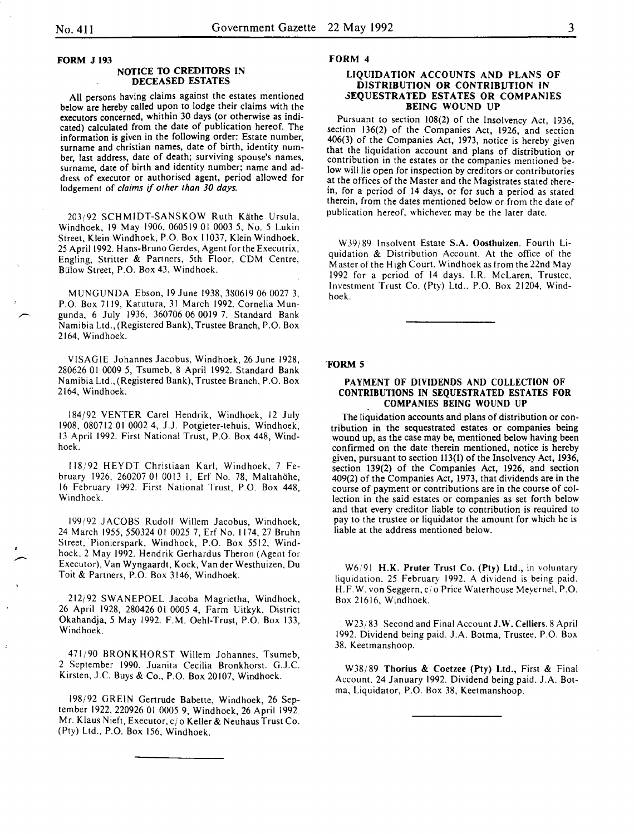#### FORM J 193

#### NOTICE TO CREDITORS IN DECEASED ESTATES

All persons having claims against the estates mentioned below are hereby called upon to lodge their claims with the executors concerned, whithin 30 days (or otherwise as indicated) calculated from the date of publication hereof. The information is given in the following order: Estate number, surname and christian names, date of birth, identity number, last address, date of death; surviving spouse's names, surname, date of birth and identity number; name and address of executor or authorised agent, period allowed for lodgement of *claims* if *other than 30 days.* 

203;92 SCHMIDT-SANSKOW Ruth Kathe Ursula, Windhoek, 19 May 1906, 060519 01 0003 5, No.5 Lukin Street, Klein Windhoek, P.O. Box 11037, Klein Windhoek, 25 April 1992. Hans-Bruno Gerdes, Agent for the Executrix, Engling, Stritter & Partners, 5th Floor, COM Centre, Bulow Street, P.O. Box 43, Windhoek.

MUNGUNDA Ebson, 19 June 1938, 380619 06 0027 3, P.O. Box 7119, Katutura, 31 March 1992. Cornelia Mungunda, 6 July 1936, 360706 06 0019 7. Standard Bank Namibia Ltd., (Registered Bank), Trustee Branch, P.O. Box 2164, Windhoek.

VlSAGIE Johannes Jacobus, Windhoek, 26 June 1928, 280626 01 0009 5, Tsumeb, 8 April 1992. Standard Bank Namibia Ltd.,(Registered Bank), Trustee Branch, P.O. Box 2164, Windhoek.

184/92 VENTER Carel Hendrik, Windhoek, 12 July 1908, 080712 01 0002 4, J.J. Potgieter-tehuis, Windhoek, 13 April 1992. First National Trust, P.O. Box 448, Windhoek.

118/92 HEYDT Christiaan Karl, Windhoek, 7 February 1926, 260207 01 0013 I, Erf No. 78, Maltahohe, 16 February 1992. First National Trust, P.O. Box 448, Windhoek.

199/92 JACOBS Rudolf Willem Jacobus, Windhoek, 24 March 1955, 550324 01 0025 7, Erf No. 1174, 27 Bruhn Street, 'Pionierspark, Windhoek, P.O. Box 5512, Windhoek, 2 May 1992. Hendrik Gerhardus Theron (Agent for Executor), Van Wyngaardt, Kock, Vander Westhuizen, Du Toit & Partners, P.O. Box 3146, Windhoek.

212/92 SWANEPOEL Jacoba Magrietha, Windhoek, 26 April 1928, 280426 01 0005 4, Farm Uitkyk, District Okahandja, 5 May 1992. F.M. Oehi-Trust, P.O. Box 133, Windhoek.

471/90 BRONK HORST Willem Johannes, Tsumeb, 2 September 1990. Juanita Cecilia Bronkhorst. G.J.C. Kirsten, J.C. Buys & Co., P.O. Box 20107, Windhoek.

198(92 GREIN Gertrude Babette, Windhoek, 26 September 1922, 220926 01 0005 9, Windhoek, 26 April 1992. Mr. Klaus Nieft, Executor, cj o Keller & Neuhaus Trust Co. (Pty) Ltd., P.O. Box 156, Windhoek.

#### FORM 4

#### LIQUIDATION ACCOUNTS AND PLANS OF DISTRIBUTION OR CONTRIBUTION IN SEQUESTRATED ESTATES OR COMPANIES BEING WOUND UP

Pursuant to section 108(2) of the Insolvency Act, 1936, section 136(2) of the Companies Act, 1926, and section 406(3) of the Companies Act, 1973, notice is hereby given contribution in the estates or the companies mentioned below will lie open for inspection by creditors or contributories at the offices of the Master and the Magistrates stated therein, for a period of 14 days, or for such a period as stated therein, from the dates mentioned below or from the date of publication hereof, whichever. may be the later date.

W39(89 Insolvent Estate S.A. Oosthuizen. Fourth Liquidation & Distribution Account. At the office of the Master of the High Court, Wind hoek as from the 22nd May 1992 for a period of 14 days. l.R. McLaren, Trustee, Investment Trust Co. (Pty) Ltd., P.O. Box 21204, Windhoek.

'FORM 5

#### PAYMENT OF DIVIDENDS AND COLLECTION OF CONTRIBUTIONS IN SEQUESTRATED ESTATES FOR COMPANIES BEING WOUND UP

The liquidation accounts and plans of distribution or contribution in the sequestrated estates or companies being wound up, as the case may be, mentioned below having been confirmed on the date therein mentioned, notice is hereby given, pursuant to section 113(1) of the Insolvency Act, 1936, section 139(2) of the Companies Act, 1926, and section 409(2) of the Companies Act, 1973, that dividends are in the course of payment or contributions are in the course of collection in the said estates or companies as set forth below and that every creditor liable to contribution is reauired to pay to the trustee or liquidator the amount for which he is liable at the address mentioned below.

W6/91 H.K. Pruter Trust Co. (Pty) Ltd., in voluntary liquidation. 25 February 1992. A dividend is being paid. H.F.W. von Seggern, c/o Price Waterhouse Meyernel, P.O. Box 21616, Windhoek.

W23/83 Second and Final Account J.W. Celliers. 8 April 1992. Dividend being paid. J.A. Botma, Trustee. P.O. Box 38, Keetmanshoop.

W38/89 Thorius & Coetzee (Pty) Ltd., First & Final Account. 24 January 1992. Dividend being paid. J.A. Botma, Liquidator, P.O. Box 38, Keetmanshoop.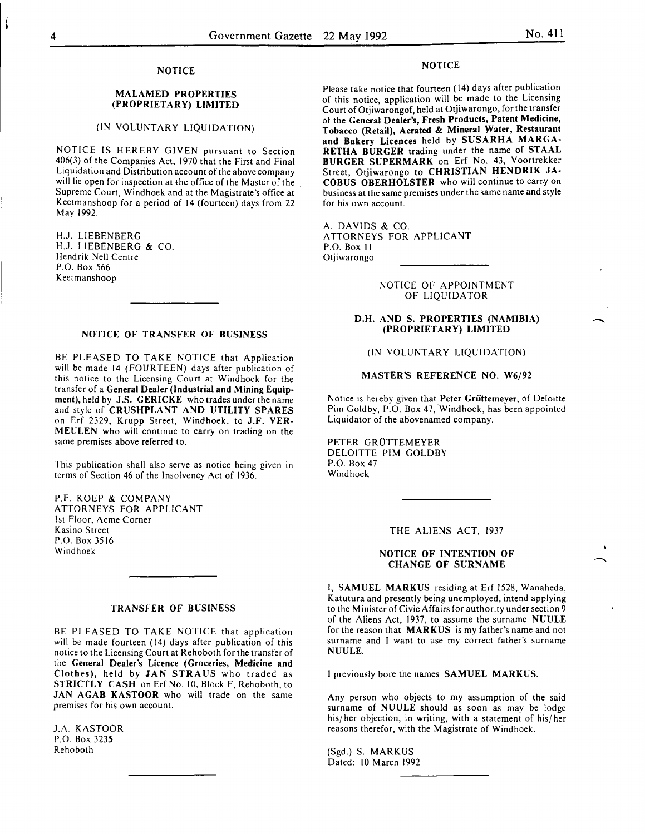#### NOTICE

#### MALAMED PROPERTIES (PROPRIETARY) LIMITED

#### (IN VOLUNTARY LIQUIDATION)

NOTICE IS HEREBY GIVEN pursuant to Section 406(3) of the Companies Act, 1970 that the First and Final Liquidation and Distribution account of the above company will lie open for inspection at the office of the Master of the Supreme Court, Windhoek and at the Magistrate's office at Keetmanshoop for a period of 14 (fourteen) days from 22 May 1992.

H.J. LIESENBERG H.J. LIESENBERG & CO. Hendrik Nell Centre P.O. Box 566 Keetmanshoop

#### NOTICE OF TRANSFER OF BUSINESS

BE PLEASED TO TAKE NOTICE that Application will be made 14 (FOURTEEN) days after publication of this notice to the Licensing Court at Windhoek for the transfer of a General Dealer (Industrial and Mining Equipment), held by J.S. GERICKE who trades under the name and style of CRUSHPLANT AND UTILITY SPARES on Erf 2329, Krupp Street, Windhoek, to J.F. VER-MEULEN who will continue to carry on trading on the same premises above referred to.

This publication shall also serve as notice being given in terms of Section 46 of the Insolvency Act of 1936.

P.F. KOEP & COMPANY ATTORNEYS FOR APPLICANT 1st Floor, Acme Corner Kasino Street P.O. Box 3516 Windhoek

#### TRANSFER OF BUSINESS

BE PLEASED TO TAKE NOTICE that application will be made fourteen (14) days after publication of this notice to the Licensing Court at Rehoboth for the transfer of the General Dealer's Licence (Groceries, Medicine and Clothes), held by JAN STRAUS who traded as STRICTLY CASH on Erf No. 10, Block F, Rehoboth, to JAN AGAB KASTOOR who will trade on the same premises for his own account.

J.A. KASTOOR P.O. Box 3235 Rehoboth

#### **NOTICE**

Please take notice that fourteen ( 14) days after publication of this notice, application will be made to the Licensing Court of Otjiwarongof, held at Otjiwarongo, for the transfer of the General Dealer's, Fresh Products, Patent Medicine, Tobacco (Retail), Aerated & Mineral Water, Restaurant and Bakery Licences held by SUSARHA MARGA-RETHA BURGER trading under the name of STAAL BURGER SUPERMARK on Erf No. 43, Voortrekker Street, Otjiwarongo to CHRISTIAN HENDRIK JA-COBUS OBERHOLSTER who will continue to carry on business at the same premises under the same name and style for his own account.

A. DAVIDS & CO. ATTORNEYS FOR APPLICANT P.O. Box II Otjiwarongo

#### NOTICE OF APPOINTMENT OF LIQUIDATOR

#### D.H. AND S. PROPERTIES (NAMIBIA) (PROPRIETARY) LIMITED

#### (IN VOLUNTARY LIQUIDATION)

#### MASTER'S REFERENCE NO. W6/92

Notice is hereby given that Peter Grüttemeyer, of Deloitte Pim Goldby, P.O. Box 47, Windhoek, has been appointed Liquidator of the abovenamed company.

PETER GRÜTTEMEYER DELOITTE PIM GOLDBY P.O. Box 47 Windhoek

THE ALIENS ACT, 1937

#### NOTICE OF INTENTION OF CHANGE OF SURNAME

I, SAMUEL MARKUS residing at Erf 1528, Wanaheda, Katutura and presently being unemployed, intend applying to the Minister of Civic Affairs for authority under section 9 of the Aliens Act, 1937, to assume the surname NUULE for the reason that MARKUS is my father's name and not surname and I want to use my correct father's surname NUULE.

I previously bore the names SAMUEL MARKUS.

Any person who objects to my assumption of the said surname of NUULE should as soon as may be lodge his/ her objection, in writing, with a statement of his/ her reasons therefor, with the Magistrate of Windhoek.

(Sgd.) S. MARKUS Dated: 10 March 1992 -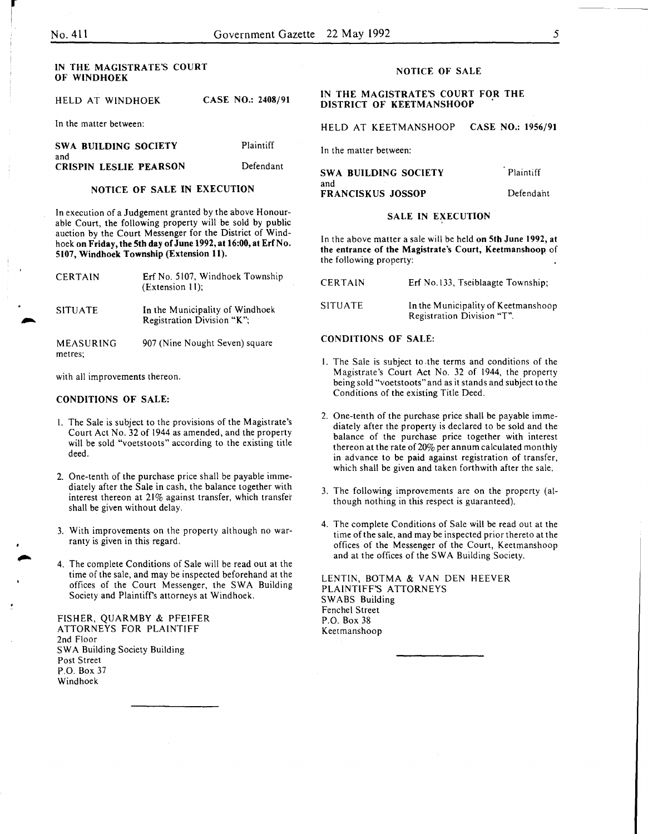#### IN THE MAGISTRATE'S COURT OF WINDHOEK

| HELD AT WINDHOEK              | CASE NO.: 2408/91 |
|-------------------------------|-------------------|
| In the matter between:        |                   |
| SWA BUILDING SOCIETY<br>and   | Plaintiff         |
| <b>CRISPIN LESLIE PEARSON</b> | Defendant         |

#### NOTICE OF SALE IN EXECUTION

In execution of a Judgement granted by the above Honourable Court, the following property will be sold by public auction by the Court Messenger for the District of Windhoek on Friday, the 5th day of June 1992, at 16:00, at Erf No. 5107, Windhoek Township (Extension ll).

| <b>CERTAIN</b>       | Erf No. 5107, Windhoek Township<br>(Extension 11);            |
|----------------------|---------------------------------------------------------------|
| <b>SITUATE</b>       | In the Municipality of Windhoek<br>Registration Division "K"; |
| MEASURING<br>metres: | 907 (Nine Nought Seven) square                                |

with all improvements thereon.

#### CONDITIONS OF SALE:

- 1. The Sale is subject to the provisions of the Magistrate's Court Act No. 32 of 1944 as amended, and the property will be sold "voetstoots" according to the existing title deed.
- 2. One-tenth of the purchase price shall be payable immediately after the Sale in cash, the balance together with interest thereon at 21% against transfer, which transfer shall be given without delay.
- 3. With improvements on the property although no warranty is given in this regard.
- 4. The complete Conditions of Sale will be read out at the time of the sale, and may be inspected beforehand at the offices of the Court Messenger, the SWA Building Society and Plaintiffs attorneys at Windhoek.

FISHER, QUARMBY & PFEIFER ATTORNEYS FOR PLAINTIFF 2nd Floor SWA Building Society Building Post Street P.O. Box 37 Windhoek

#### NOTICE OF SALE

#### IN THE MAGISTRATE'S COURT FOR THE DISTRICT OF KEETMANSHOOP

HELD AT KEETMANSHOOP CASE NO.: 1956/91

In the matter between:

| SWA BUILDING SOCIETY     | Plaintiff |
|--------------------------|-----------|
| and                      |           |
| <b>FRANCISKUS JOSSOP</b> | Defendant |

#### SALE IN EXECUTION

In the above matter a sale will be held on 5th June 1992, at the entrance of the Magistrate's Court, Keetmanshoop of the following property:

| <b>CERTAIN</b> | Erf No.133, Tseiblaagte Township;                                 |
|----------------|-------------------------------------------------------------------|
| <b>SITUATE</b> | In the Municipality of Keetmanshoop<br>Registration Division "T". |

#### CONDITIONS OF SALE:

- I. The Sale is subject to .the terms and conditions of the Magistrate's Court Act No. 32 of 1944, the property being sold "voetstoots" and as it stands and subject to the Conditions of the existing Title Deed.
- 2. One-tenth of the purchase price shall be payable immediately after the property is declared to be sold and the balance of the purchase price together with interest thereon at the rate of 20% per annum calculated monthly in advance to be paid against registration of transfer, which shall be given and taken forthwith after the sale.
- 3. The following improvements are on the property (although nothing in this respect is guaranteed).
- 4. The complete Conditions of Sale will be read out at the time of the sale, and may be inspected prior thereto at the offices of the Messenger of the Court, Keetmanshoop and at the offices of the SWA Building Society.

LENTIN, BOTMA & VAN DEN HEEVER PLAINTIFF'S ATTORNEYS SWABS Building Fenchel Street P.O. Box 38 Keetmanshoop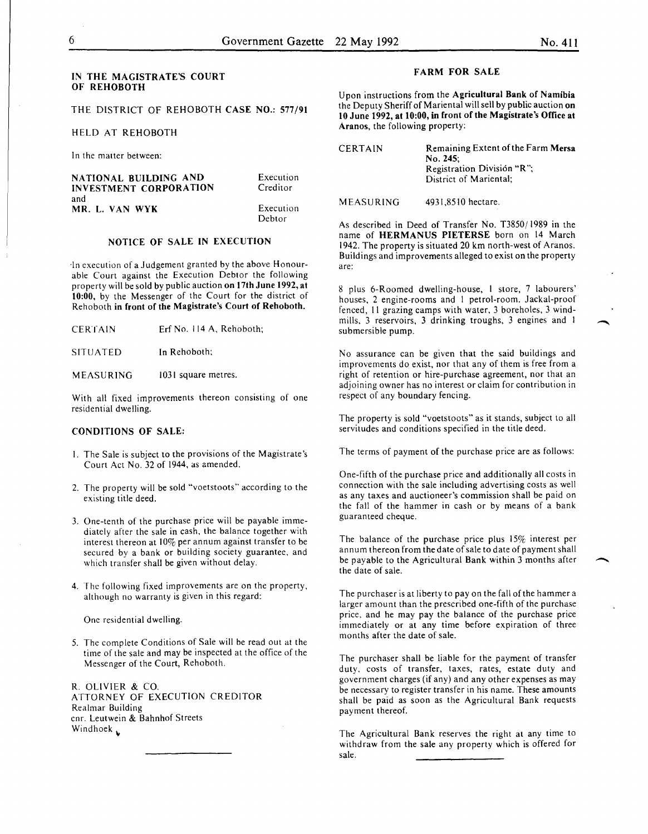-

#### IN THE MAGISTRATE'S COURT OF REHOBOTH

THE DISTRICT OF REHOBOTH CASE NO.: 577/91

HELD AT REHOBOTH

In the matter between:

| NATIONAL BUILDING AND<br>INVESTMENT CORPORATION | Execution<br>Creditor |
|-------------------------------------------------|-----------------------|
| and                                             |                       |
| MR. L. VAN WYK                                  | Execution<br>Debtor   |

#### NOTICE OF SALE IN EXECUTION

·In execution of a Judgement granted by the above Honourable Court against the Execution Debtor the following property will be sold by public auction on 17th June 1992, at 10:00, by the Messenger of the Court for the district of Rehoboth in front of the Magistrate's Court of Rehoboth.

CERTAIN Erf No. 114 A, Rehoboth;

SITUATED In Rehoboth;

MEASURING 1031 square metres.

With all fixed improvements thereon consisting of one residential dwelling.

#### CONDITIONS OF SALE:

- I. The Sale is subject to the provisions of the Magistrate's Court Act No. 32 of 1944, as amended.
- 2. The property will be sold "voetstoots" according to the existing title deed.
- 3. One-tenth of the purchase price will be payable immediately after the sale in cash, the balance together with interest thereon at  $10\%$  per annum against transfer to be secured by a bank or building society guarantee, and which transfer shall be given without delay.
- 4. The following fixed improvements are on the property, although no warranty is given in this regard:

One residential dwelling.

5. The complete Conditions of Sale will be read out at the time of the sale and may be inspected at the office of the Messenger of the Court, Rehoboth.

R. OLIVIER & CO. ATTORNEY OF EXECUTION CREDITOR Realmar Building cnr. Leutwein & Bahnhof Streets Windhoek **b** 

#### FARM FOR SALE

Upon instructions from the Agricultural Bank of Namibia the Deputy Sheriff of Mariental will sell by public auction on 10 June 1992, at 10:00, in front of the Magistrate's Office at Aranos, the following property:

| <b>CERTAIN</b> | Remaining Extent of the Farm Mersa |
|----------------|------------------------------------|
|                | No. 245:                           |
|                | Registration Division "R";         |
|                | District of Mariental:             |
|                |                                    |
|                |                                    |

4931,8510 hectare.

As described in Deed of Transfer No. T3850/1989 in the

MEASURING

name of HERMANUS PIETERSE born on 14 March 1942. The property is situated 20 km north-west of Aranos. Buildings and improvements alleged to exist on the property are:

8 plus 6-Roomed dwelling-house, 1 store, 7 labourers' houses, 2 engine-rooms and 1 petrol-room. Jackal-proof fenced, 11 grazing camps with water, 3 boreholes, 3 windmills, 3 reservoirs, 3 drinking troughs, 3 engines and 1 submersible pump.

No assurance can be given that the said buildings and improvements do exist, nor that any of them is free from a right of retention or hire-purchase agreement, nor that an adjoining owner has no interest or claim for contribution in respect of any boundary fencing.

The property is sold "voetstoots" as it stands, subject to all servitudes and conditions specified in the title deed.

The terms of payment of the purchase price are as follows:

One-fifth of the purchase price and additionally all costs in connection with the sale including advertising costs as well as any taxes and auctioneer's commission shall be paid on the fall of the hammer in cash or by means of a bank guaranteed cheque.

The balance of the purchase price plus 15% interest per annum thereon from the date of sale to date of payment shall be payable to the Agricultural Bank within 3 months after the date of sale.

The purchaser is at liberty to pay on the fall of the hammer a larger amount than the prescribed one-fifth of the purchase price, and he may pay the balance of the purchase price immediately or at any time before expiration of three months after the date of sale.

The purchaser shall be liable for the payment of transfer duty. costs of transfer, taxes, rates, estate duty and government charges (if any) and any other expenses as may be necessary to register transfer in his name. These amounts shall be paid as soon as the Agricultural Bank requests payment thereof.

The Agricultural Bank reserves the right at any time to withdraw from the sale any property which is offered for sale.